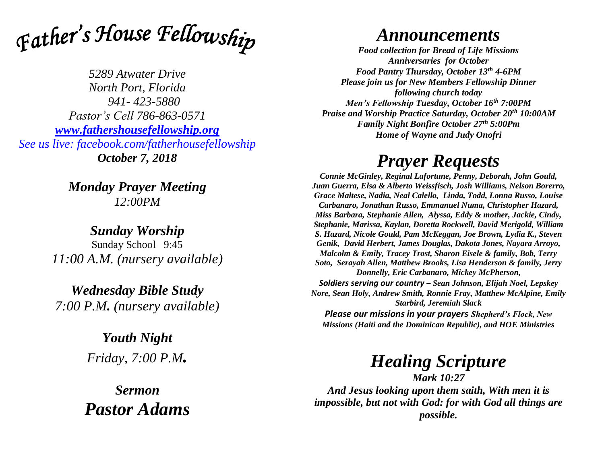

*5289 Atwater Drive North Port, Florida 941- 423-5880 Pastor's Cell 786-863-0571 [www.fathershousefellowship.org](http://www.fathershousefellowship.org/) See us live: facebook.com/fatherhousefellowship October 7, 2018*

> *Monday Prayer Meeting 12:00PM*

*Sunday Worship* Sunday School 9:45 *11:00 A.M. (nursery available)*

*Wednesday Bible Study 7:00 P.M. (nursery available)*

> *Youth Night Friday, 7:00 P.M.*

*Sermon Pastor Adams*

## *Announcements*

*Food collection for Bread of Life Missions Anniversaries for October Food Pantry Thursday, October 13th 4-6PM Please join us for New Members Fellowship Dinner following church today Men's Fellowship Tuesday, October 16th 7:00PM Praise and Worship Practice Saturday, October 20th 10:00AM Family Night Bonfire October 27th 5:00Pm Home of Wayne and Judy Onofri*

## *Prayer Requests*

*Connie McGinley, Reginal Lafortune, Penny, Deborah, John Gould, Juan Guerra, Elsa & Alberto Weissfisch, Josh Williams, Nelson Borerro, Grace Maltese, Nadia, Neal Calello, Linda, Todd, Lonna Russo, Louise Carbanaro, Jonathan Russo, Emmanuel Numa, Christopher Hazard, Miss Barbara, Stephanie Allen, Alyssa, Eddy & mother, Jackie, Cindy, Stephanie, Marissa, Kaylan, Doretta Rockwell, David Merigold, William S. Hazard, Nicole Gould, Pam McKeggan, Joe Brown, Lydia K., Steven Genik, David Herbert, James Douglas, Dakota Jones, Nayara Arroyo, Malcolm & Emily, Tracey Trost, Sharon Eisele & family, Bob, Terry Soto, Serayah Allen, Matthew Brooks, Lisa Henderson & family, Jerry Donnelly, Eric Carbanaro, Mickey McPherson, Soldiers serving our country – Sean Johnson, Elijah Noel, Lepskey Nore, Sean Holy, Andrew Smith, Ronnie Fray, Matthew McAlpine, Emily Starbird, Jeremiah Slack Please our missions in your prayers Shepherd's Flock, New Missions (Haiti and the Dominican Republic), and HOE Ministries*

## *Healing Scripture*

*Mark 10:27 And Jesus looking upon them saith, With men it is impossible, but not with God: for with God all things are possible.*